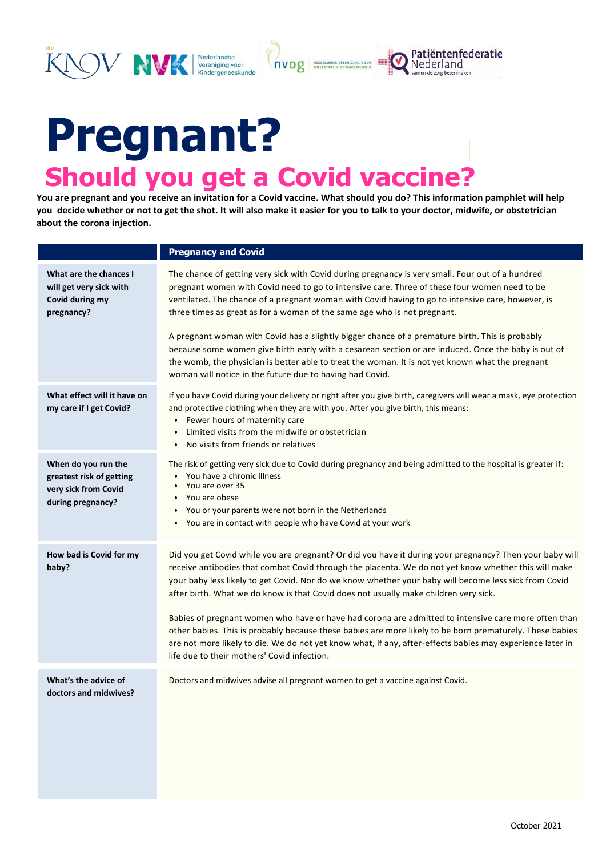## **Pregnant? Should you get a Covid vaccine?**

Nederlandse<br>Vereniging voor<br>Kindergeneeskunde

NVK

**You are pregnant and you receive an invitation for a Covid vaccine. What should you do? This information pamphlet will help you decide whether or not to get the shot. It will also make it easier for you to talk to your doctor, midwife, or obstetrician about the corona injection.**

**NVOg** SEDERLANDSE VERENIGING VOOR

Patiëntenfederatie

Nederland

|                                                                                              | <b>Pregnancy and Covid</b>                                                                                                                                                                                                                                                                                                                                                                                                                                                                                                                                                                                                                                                                                                                                                                      |
|----------------------------------------------------------------------------------------------|-------------------------------------------------------------------------------------------------------------------------------------------------------------------------------------------------------------------------------------------------------------------------------------------------------------------------------------------------------------------------------------------------------------------------------------------------------------------------------------------------------------------------------------------------------------------------------------------------------------------------------------------------------------------------------------------------------------------------------------------------------------------------------------------------|
| What are the chances I<br>will get very sick with<br>Covid during my<br>pregnancy?           | The chance of getting very sick with Covid during pregnancy is very small. Four out of a hundred<br>pregnant women with Covid need to go to intensive care. Three of these four women need to be<br>ventilated. The chance of a pregnant woman with Covid having to go to intensive care, however, is<br>three times as great as for a woman of the same age who is not pregnant.<br>A pregnant woman with Covid has a slightly bigger chance of a premature birth. This is probably<br>because some women give birth early with a cesarean section or are induced. Once the baby is out of<br>the womb, the physician is better able to treat the woman. It is not yet known what the pregnant<br>woman will notice in the future due to having had Covid.                                     |
| What effect will it have on<br>my care if I get Covid?                                       | If you have Covid during your delivery or right after you give birth, caregivers will wear a mask, eye protection<br>and protective clothing when they are with you. After you give birth, this means:<br>Fewer hours of maternity care<br>$\bullet$<br>Limited visits from the midwife or obstetrician<br>$\bullet$<br>No visits from friends or relatives                                                                                                                                                                                                                                                                                                                                                                                                                                     |
| When do you run the<br>greatest risk of getting<br>very sick from Covid<br>during pregnancy? | The risk of getting very sick due to Covid during pregnancy and being admitted to the hospital is greater if:<br>You have a chronic illness<br>You are over 35<br>$\bullet$<br>You are obese<br>$\bullet$<br>You or your parents were not born in the Netherlands<br>$\bullet$<br>You are in contact with people who have Covid at your work                                                                                                                                                                                                                                                                                                                                                                                                                                                    |
| How bad is Covid for my<br>baby?                                                             | Did you get Covid while you are pregnant? Or did you have it during your pregnancy? Then your baby will<br>receive antibodies that combat Covid through the placenta. We do not yet know whether this will make<br>your baby less likely to get Covid. Nor do we know whether your baby will become less sick from Covid<br>after birth. What we do know is that Covid does not usually make children very sick.<br>Babies of pregnant women who have or have had corona are admitted to intensive care more often than<br>other babies. This is probably because these babies are more likely to be born prematurely. These babies<br>are not more likely to die. We do not yet know what, if any, after-effects babies may experience later in<br>life due to their mothers' Covid infection. |
| What's the advice of<br>doctors and midwives?                                                | Doctors and midwives advise all pregnant women to get a vaccine against Covid.                                                                                                                                                                                                                                                                                                                                                                                                                                                                                                                                                                                                                                                                                                                  |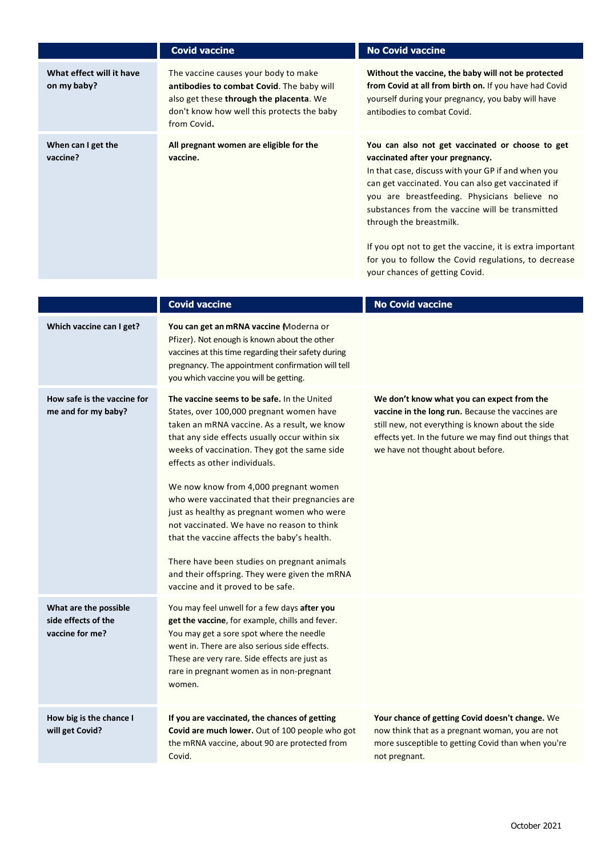|                                                                 | <b>Covid vaccine</b>                                                                                                                                                                                                                                                                                                                                                                                                                                                                                                                                                                                                                                 | <b>No Covid vaccine</b>                                                                                                                                                                                                                                                                                                                                                                                                                                                              |
|-----------------------------------------------------------------|------------------------------------------------------------------------------------------------------------------------------------------------------------------------------------------------------------------------------------------------------------------------------------------------------------------------------------------------------------------------------------------------------------------------------------------------------------------------------------------------------------------------------------------------------------------------------------------------------------------------------------------------------|--------------------------------------------------------------------------------------------------------------------------------------------------------------------------------------------------------------------------------------------------------------------------------------------------------------------------------------------------------------------------------------------------------------------------------------------------------------------------------------|
| What effect will it have<br>on my baby?                         | The vaccine causes your body to make<br>antibodies to combat Covid. The baby will<br>also get these through the placenta. We<br>don't know how well this protects the baby<br>from Covid.                                                                                                                                                                                                                                                                                                                                                                                                                                                            | Without the vaccine, the baby will not be protected<br>from Covid at all from birth on. If you have had Covid<br>yourself during your pregnancy, you baby will have<br>antibodies to combat Covid.                                                                                                                                                                                                                                                                                   |
| When can I get the<br>vaccine?                                  | All pregnant women are eligible for the<br>vaccine.                                                                                                                                                                                                                                                                                                                                                                                                                                                                                                                                                                                                  | You can also not get vaccinated or choose to get<br>vaccinated after your pregnancy.<br>In that case, discuss with your GP if and when you<br>can get vaccinated. You can also get vaccinated if<br>you are breastfeeding. Physicians believe no<br>substances from the vaccine will be transmitted<br>through the breastmilk.<br>If you opt not to get the vaccine, it is extra important<br>for you to follow the Covid regulations, to decrease<br>your chances of getting Covid. |
|                                                                 | <b>Covid vaccine</b>                                                                                                                                                                                                                                                                                                                                                                                                                                                                                                                                                                                                                                 | <b>No Covid vaccine</b>                                                                                                                                                                                                                                                                                                                                                                                                                                                              |
| Which vaccine can I get?                                        | You can get an mRNA vaccine Moderna or<br>Pfizer). Not enough is known about the other<br>vaccines at this time regarding their safety during<br>pregnancy. The appointment confirmation will tell<br>you which vaccine you will be getting.                                                                                                                                                                                                                                                                                                                                                                                                         |                                                                                                                                                                                                                                                                                                                                                                                                                                                                                      |
| How safe is the vaccine for<br>me and for my baby?              | The vaccine seems to be safe. In the United<br>States, over 100,000 pregnant women have<br>taken an mRNA vaccine. As a result, we know<br>that any side effects usually occur within six<br>weeks of vaccination. They got the same side<br>effects as other individuals.<br>We now know from 4,000 pregnant women<br>who were vaccinated that their pregnancies are<br>just as healthy as pregnant women who were<br>not vaccinated. We have no reason to think<br>that the vaccine affects the baby's health.<br>There have been studies on pregnant animals<br>and their offspring. They were given the mRNA<br>vaccine and it proved to be safe. | We don't know what you can expect from the<br>vaccine in the long run. Because the vaccines are<br>still new, not everything is known about the side<br>effects yet. In the future we may find out things that<br>we have not thought about before.                                                                                                                                                                                                                                  |
| What are the possible<br>side effects of the<br>vaccine for me? | You may feel unwell for a few days after you<br>get the vaccine, for example, chills and fever.<br>You may get a sore spot where the needle<br>went in. There are also serious side effects.<br>These are very rare. Side effects are just as<br>rare in pregnant women as in non-pregnant<br>women.                                                                                                                                                                                                                                                                                                                                                 |                                                                                                                                                                                                                                                                                                                                                                                                                                                                                      |
| How big is the chance I<br>will get Covid?                      | If you are vaccinated, the chances of getting<br>Covid are much lower. Out of 100 people who got<br>the mRNA vaccine, about 90 are protected from<br>Covid.                                                                                                                                                                                                                                                                                                                                                                                                                                                                                          | Your chance of getting Covid doesn't change. We<br>now think that as a pregnant woman, you are not<br>more susceptible to getting Covid than when you're<br>not pregnant.                                                                                                                                                                                                                                                                                                            |
|                                                                 |                                                                                                                                                                                                                                                                                                                                                                                                                                                                                                                                                                                                                                                      |                                                                                                                                                                                                                                                                                                                                                                                                                                                                                      |